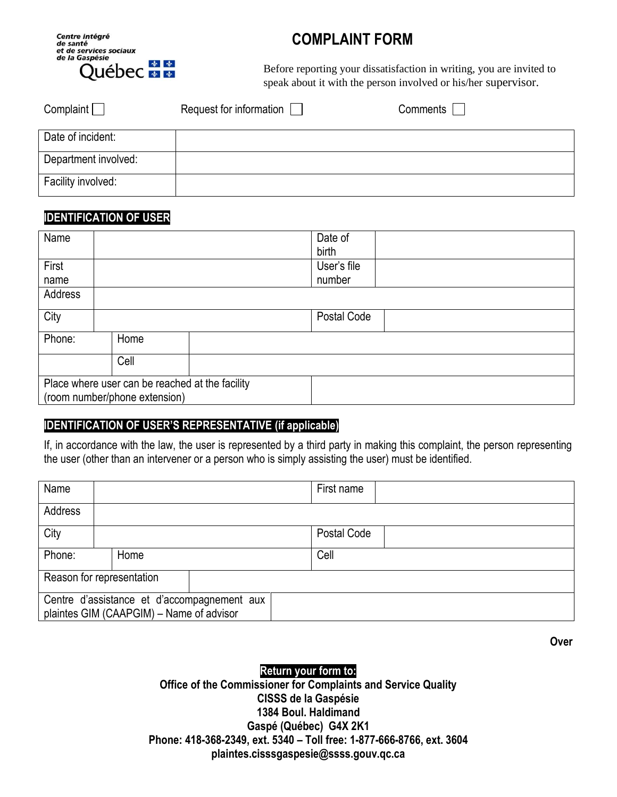

# **COMPLAINT FORM**

Before reporting your dissatisfaction in writing, you are invited to speak about it with the person involved or his/her supervisor.

| Complain             | Request for information | Comments |
|----------------------|-------------------------|----------|
| Date of incident:    |                         |          |
| Department involved: |                         |          |
| Facility involved:   |                         |          |

### **IDENTIFICATION OF USER**

| Name                                            |      |  | Date of     |  |
|-------------------------------------------------|------|--|-------------|--|
|                                                 |      |  | birth       |  |
| First                                           |      |  | User's file |  |
| name                                            |      |  | number      |  |
| Address                                         |      |  |             |  |
| City                                            |      |  | Postal Code |  |
| Phone:                                          | Home |  |             |  |
|                                                 | Cell |  |             |  |
| Place where user can be reached at the facility |      |  |             |  |
| (room number/phone extension)                   |      |  |             |  |

#### **IDENTIFICATION OF USER'S REPRESENTATIVE (if applicable)**

If, in accordance with the law, the user is represented by a third party in making this complaint, the person representing the user (other than an intervener or a person who is simply assisting the user) must be identified.

| Name                                                                                    |      |  |  | First name  |  |
|-----------------------------------------------------------------------------------------|------|--|--|-------------|--|
| Address                                                                                 |      |  |  |             |  |
| City                                                                                    |      |  |  | Postal Code |  |
| Phone:                                                                                  | Home |  |  | Cell        |  |
| Reason for representation                                                               |      |  |  |             |  |
| Centre d'assistance et d'accompagnement aux<br>plaintes GIM (CAAPGIM) - Name of advisor |      |  |  |             |  |

**Over**

#### **Return your form to:**

**Office of the Commissioner for Complaints and Service Quality CISSS de la Gaspésie 1384 Boul. Haldimand Gaspé (Québec) G4X 2K1 Phone: 418-368-2349, ext. 5340 – Toll free: 1-877-666-8766, ext. 3604 plaintes.cisssgaspesie@ssss.gouv.qc.ca**